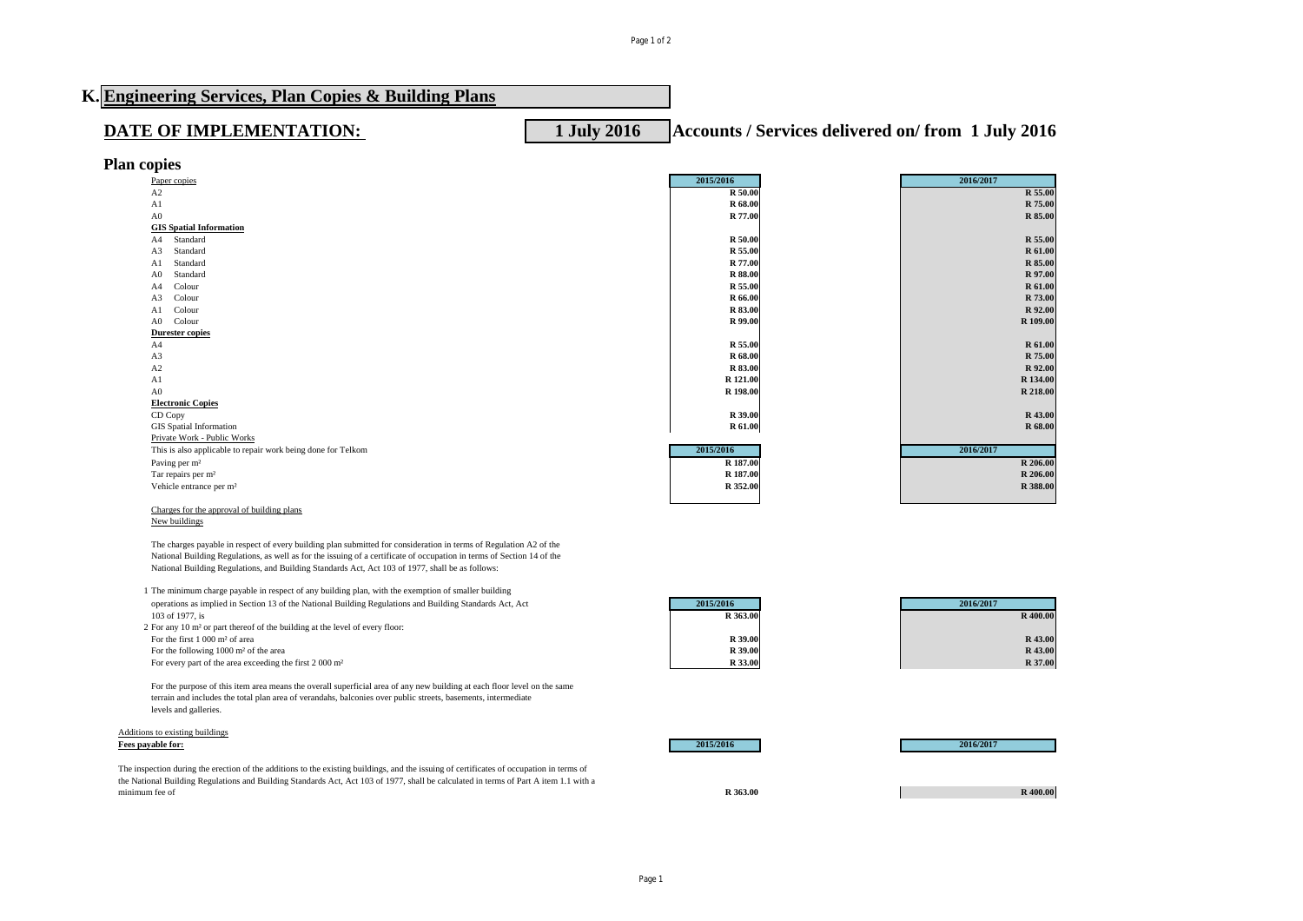## **K. Engineering Services, Plan Copies & Building Plans DATE OF IMPLEMENTATION:** 1 July 2016 **Accounts / Services delivered on/ from 1 July 2016 Plan copies** Paper copies **2015/2016 2016/2017** A2 **R 50.00 R 55.00**

| A1                                                           | R 68.00        | R 75.00   |
|--------------------------------------------------------------|----------------|-----------|
| A <sub>0</sub>                                               | R 77.00        | R 85.00   |
| <b>GIS Spatial Information</b>                               |                |           |
| Standard<br>A4                                               | R 50.00        | R 55.00   |
| Standard<br>A3                                               | R 55.00        | R 61.00   |
| Standard<br>A1                                               | R 77.00        | R 85.00   |
| Standard<br>A0                                               | <b>R</b> 88.00 | R 97.00   |
| Colour<br>A4                                                 | R 55.00        | R 61.00   |
| Colour<br>A3                                                 | R 66.00        | R 73.00   |
| Colour<br>Al                                                 | R 83.00        | R 92.00   |
| Colour<br>A <sub>0</sub>                                     | R 99.00        | R 109.00  |
| <b>Durester copies</b>                                       |                |           |
| A4                                                           | R 55.00        | R 61.00   |
| A3                                                           | R 68.00        | R 75.00   |
| A2                                                           | R 83.00        | R 92.00   |
| A1                                                           | R 121.00       | R 134.00  |
| A <sub>0</sub>                                               | R 198.00       | R 218.00  |
| <b>Electronic Copies</b>                                     |                |           |
| CD Copy                                                      | R 39.00        | R 43.00   |
| <b>GIS</b> Spatial Information                               | R 61.00        | R 68.00   |
| Private Work - Public Works                                  |                |           |
| This is also applicable to repair work being done for Telkom | 2015/2016      | 2016/2017 |
| Paving per m <sup>2</sup>                                    | R 187.00       | R 206.00  |
| Tar repairs per m <sup>2</sup>                               | R 187.00       | R 206.00  |
| Vehicle entrance per m <sup>2</sup>                          | R 352.00       | R 388.00  |
|                                                              |                |           |

## Charges for the approval of building plans New buildings

The charges payable in respect of every building plan submitted for consideration in terms of Regulation A2 of the National Building Regulations, as well as for the issuing of a certificate of occupation in terms of Section 14 of the National Building Regulations, and Building Standards Act, Act 103 of 1977, shall be as follows:

1 The minimum charge payable in respect of any building plan, with the exemption of smaller building operations as implied in Section 13 of the National Building Regulations and Building Standards Act, Act **2015/2016 2016/2017** 103 of 1977, is **R 363.00 R 400.00**

2 For any 10 m<sup>2</sup> or part thereof of the building at the level of every floor:<br>For the first 1 000 m<sup>2</sup> of area For the first 1 000 m² of area **R 39.00 R 43.00** For the following  $1000 \text{ m}^2$  of the area **R 39.00 R 39.00** For every part of the area exceeding the first 2 000 m<sup>2</sup> **R 33.00** 

For the purpose of this item area means the overall superficial area of any new building at each floor level on the same terrain and includes the total plan area of verandahs, balconies over public streets, basements, intermediate levels and galleries.

## Additions to existing buildings<br>Fees payable for: **Fees payable for: 2015/2016 2016/2017**

The inspection during the erection of the additions to the existing buildings, and the issuing of certificates of occupation in terms of the National Building Regulations and Building Standards Act, Act 103 of 1977, shall be calculated in terms of Part A item 1.1 with a minimum fee of **R 363.00 R 400.00**

| 2016/2017 |          |
|-----------|----------|
|           | R 400.00 |
|           | R 43.00  |
|           | R 43.00  |
|           | R 37.00  |